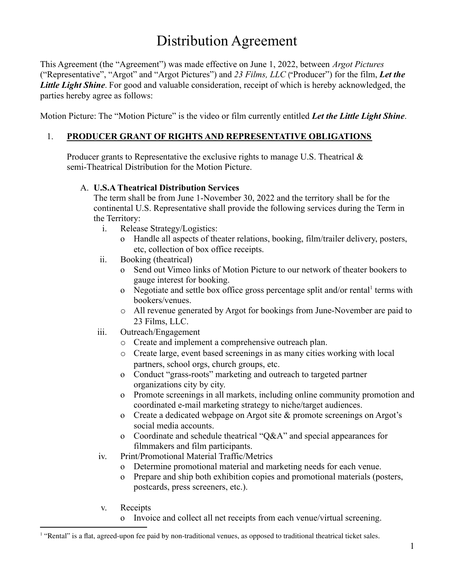# Distribution Agreement

This Agreement (the "Agreement") was made effective on June 1, 2022, between *Argot Pictures* ("Representative", "Argot" and "Argot Pictures") and *23 Films, LLC* ("Producer") for the film, *Let the Little Light Shine*. For good and valuable consideration, receipt of which is hereby acknowledged, the parties hereby agree as follows:

Motion Picture: The "Motion Picture" is the video or film currently entitled *Let the Little Light Shine*.

## 1. **PRODUCER GRANT OF RIGHTS AND REPRESENTATIVE OBLIGATIONS**

Producer grants to Representative the exclusive rights to manage U.S. Theatrical  $\&$ semi-Theatrical Distribution for the Motion Picture.

#### A. **U.S.A Theatrical Distribution Services**

The term shall be from June 1-November 30, 2022 and the territory shall be for the continental U.S. Representative shall provide the following services during the Term in the Territory:

- i. Release Strategy/Logistics:
	- o Handle all aspects of theater relations, booking, film/trailer delivery, posters, etc, collection of box office receipts.
- ii. Booking (theatrical)
	- o Send out Vimeo links of Motion Picture to our network of theater bookers to gauge interest for booking.
	- o Negotiate and settle box office gross percentage split and/or rental terms with bookers/venues.
	- o All revenue generated by Argot for bookings from June-November are paid to 23 Films, LLC.
- iii. Outreach/Engagement
	- o Create and implement a comprehensive outreach plan.
	- o Create large, event based screenings in as many cities working with local partners, school orgs, church groups, etc.
	- o Conduct "grass-roots" marketing and outreach to targeted partner organizations city by city.
	- o Promote screenings in all markets, including online community promotion and coordinated e-mail marketing strategy to niche/target audiences.
	- o Create a dedicated webpage on Argot site & promote screenings on Argot's social media accounts.
	- o Coordinate and schedule theatrical "Q&A" and special appearances for filmmakers and film participants.
- iv. Print/Promotional Material Traffic/Metrics
	- o Determine promotional material and marketing needs for each venue.
	- o Prepare and ship both exhibition copies and promotional materials (posters, postcards, press screeners, etc.).
- v. Receipts
	- o Invoice and collect all net receipts from each venue/virtual screening.

<sup>&</sup>lt;sup>1</sup> "Rental" is a flat, agreed-upon fee paid by non-traditional venues, as opposed to traditional theatrical ticket sales.